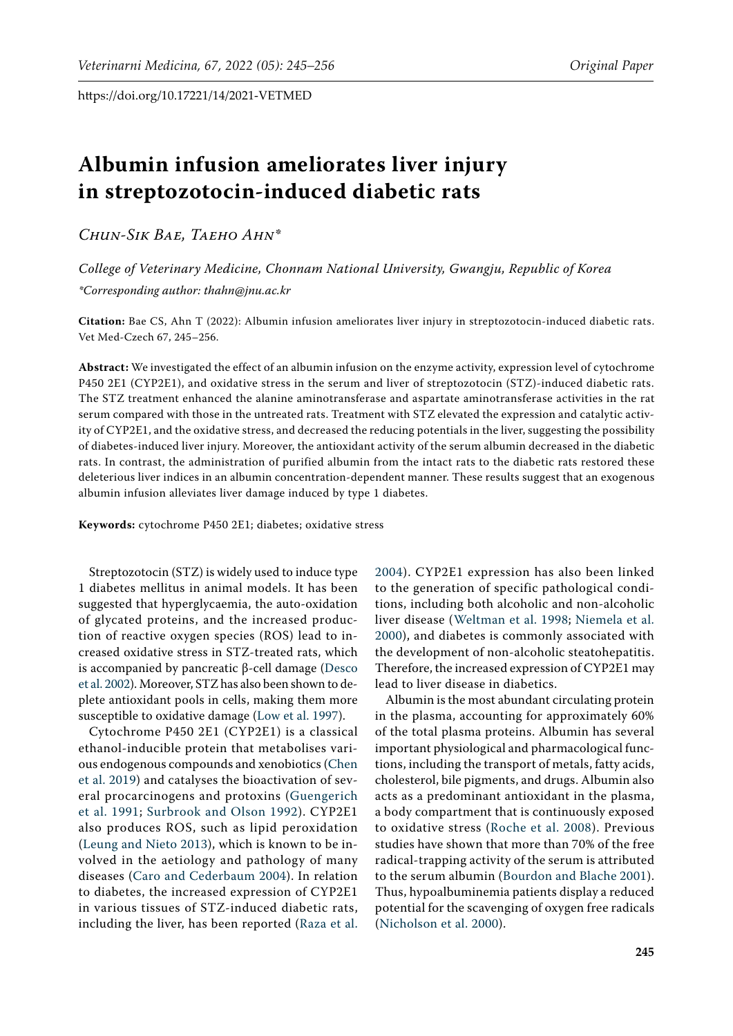# **Albumin infusion ameliorates liver injury in streptozotocin-induced diabetic rats**

*Chun-Sik Bae, Taeho Ahn\**

*College of Veterinary Medicine, Chonnam National University, Gwangju, Republic of Korea \*Corresponding author: thahn@jnu.ac.kr*

**Citation:** Bae CS, Ahn T (2022): Albumin infusion ameliorates liver injury in streptozotocin-induced diabetic rats. Vet Med-Czech 67, 245–256.

**Abstract:** We investigated the effect of an albumin infusion on the enzyme activity, expression level of cytochrome P450 2E1 (CYP2E1), and oxidative stress in the serum and liver of streptozotocin (STZ)-induced diabetic rats. The STZ treatment enhanced the alanine aminotransferase and aspartate aminotransferase activities in the rat serum compared with those in the untreated rats. Treatment with STZ elevated the expression and catalytic activity of CYP2E1, and the oxidative stress, and decreased the reducing potentials in the liver, suggesting the possibility of diabetes-induced liver injury. Moreover, the antioxidant activity of the serum albumin decreased in the diabetic rats. In contrast, the administration of purified albumin from the intact rats to the diabetic rats restored these deleterious liver indices in an albumin concentration-dependent manner. These results suggest that an exogenous albumin infusion alleviates liver damage induced by type 1 diabetes.

**Keywords:** cytochrome P450 2E1; diabetes; oxidative stress

Streptozotocin (STZ) is widely used to induce type 1 diabetes mellitus in animal models. It has been suggested that hyperglycaemia, the auto-oxidation of glycated proteins, and the increased production of reactive oxygen species (ROS) lead to increased oxidative stress in STZ-treated rats, which is accompanied by pancreatic β-cell damage ([Desco](#page-10-0)  [et al. 2002\)](#page-10-0). Moreover, STZ has also been shown to deplete antioxidant pools in cells, making them more susceptible to oxidative damage ([Low et al. 1997\)](#page-10-1).

Cytochrome P450 2E1 (CYP2E1) is a classical ethanol-inducible protein that metabolises various endogenous compounds and xenobiotics ([Chen](#page-10-2)  [et al. 2019\)](#page-10-2) and catalyses the bioactivation of several procarcinogens and protoxins ([Guengerich](#page-10-3)  [et al. 1991](#page-10-3); [Surbrook and Olson 1992](#page-11-0)). CYP2E1 also produces ROS, such as lipid peroxidation [\(Leung and Nieto 2013\)](#page-10-4), which is known to be involved in the aetiology and pathology of many diseases ([Caro and Cederbaum 2004\)](#page-10-5). In relation to diabetes, the increased expression of CYP2E1 in various tissues of STZ-induced diabetic rats, including the liver, has been reported [\(Raza et al.](#page-11-1) 

[2004](#page-11-1)). CYP2E1 expression has also been linked to the generation of specific pathological conditions, including both alcoholic and non-alcoholic liver disease ([Weltman et al. 1998;](#page-11-2) [Niemela et al.](#page-11-3) [2000\)](#page-11-3), and diabetes is commonly associated with the development of non-alcoholic steatohepatitis. Therefore, the increased expression of CYP2E1 may lead to liver disease in diabetics.

Albumin is the most abundant circulating protein in the plasma, accounting for approximately 60% of the total plasma proteins. Albumin has several important physiological and pharmacological functions, including the transport of metals, fatty acids, cholesterol, bile pigments, and drugs. Albumin also acts as a predominant antioxidant in the plasma, a body compartment that is continuously exposed to oxidative stress [\(Roche et al. 2008\)](#page-11-4). Previous studies have shown that more than 70% of the free radical-trapping activity of the serum is attributed to the serum albumin [\(Bourdon and Blache 2001](#page-10-6)). Thus, hypoalbuminemia patients display a reduced potential for the scavenging of oxygen free radicals [\(Nicholson et al. 2000](#page-11-5)).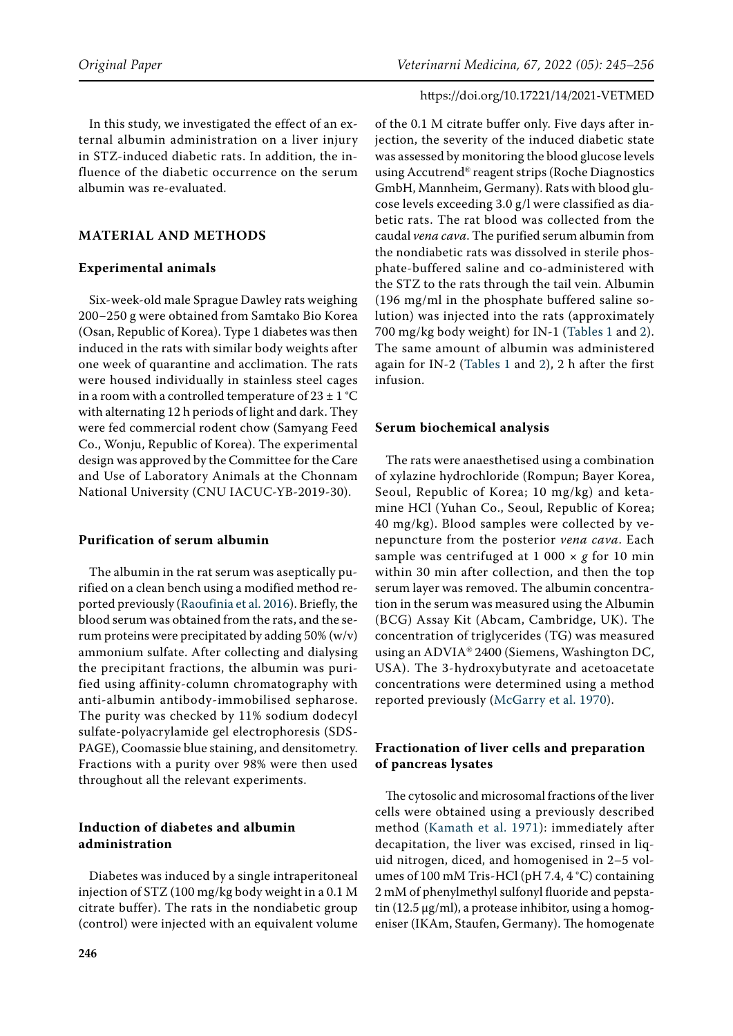In this study, we investigated the effect of an external albumin administration on a liver injury in STZ-induced diabetic rats. In addition, the influence of the diabetic occurrence on the serum albumin was re-evaluated.

# **MATERIAL AND METHODS**

#### **Experimental animals**

Six-week-old male Sprague Dawley rats weighing 200−250 g were obtained from Samtako Bio Korea (Osan, Republic of Korea). Type 1 diabetes was then induced in the rats with similar body weights after one week of quarantine and acclimation. The rats were housed individually in stainless steel cages in a room with a controlled temperature of  $23 \pm 1$  °C with alternating 12 h periods of light and dark. They were fed commercial rodent chow (Samyang Feed Co., Wonju, Republic of Korea). The experimental design was approved by the Committee for the Care and Use of Laboratory Animals at the Chonnam National University (CNU IACUC-YB-2019-30).

#### **Purification of serum albumin**

The albumin in the rat serum was aseptically purified on a clean bench using a modified method reported previously ([Raoufinia et al. 2016](#page-11-6)). Briefly, the blood serum was obtained from the rats, and the serum proteins were precipitated by adding 50% (w/v) ammonium sulfate. After collecting and dialysing the precipitant fractions, the albumin was purified using affinity-column chromatography with anti-albumin antibody-immobilised sepharose. The purity was checked by 11% sodium dodecyl sulfate-polyacrylamide gel electrophoresis (SDS-PAGE), Coomassie blue staining, and densitometry. Fractions with a purity over 98% were then used throughout all the relevant experiments.

# **Induction of diabetes and albumin administration**

Diabetes was induced by a single intraperitoneal injection of STZ (100 mg/kg body weight in a 0.1 M citrate buffer). The rats in the nondiabetic group (control) were injected with an equivalent volume

of the 0.1 M citrate buffer only. Five days after injection, the severity of the induced diabetic state was assessed by monitoring the blood glucose levels using Accutrend® reagent strips (Roche Diagnostics GmbH, Mannheim, Germany). Rats with blood glucose levels exceeding 3.0 g/l were classified as diabetic rats. The rat blood was collected from the caudal *vena cava*. The purified serum albumin from the nondiabetic rats was dissolved in sterile phosphate-buffered saline and co-administered with the STZ to the rats through the tail vein. Albumin (196 mg/ml in the phosphate buffered saline solution) was injected into the rats (approximately 700 mg/kg body weight) for IN-1 ([Tables 1](#page-2-0) and [2](#page-2-1)). The same amount of albumin was administered again for IN-2 ([Tables 1](#page-2-0) and [2\)](#page-2-1), 2 h after the first infusion.

#### **Serum biochemical analysis**

The rats were anaesthetised using a combination of xylazine hydrochloride (Rompun; Bayer Korea, Seoul, Republic of Korea; 10 mg/kg) and ketamine HCl (Yuhan Co., Seoul, Republic of Korea; 40 mg/kg). Blood samples were collected by venepuncture from the posterior *vena cava*. Each sample was centrifuged at 1 000 × *g* for 10 min within 30 min after collection, and then the top serum layer was removed. The albumin concentration in the serum was measured using the Albumin (BCG) Assay Kit (Abcam, Cambridge, UK). The concentration of triglycerides (TG) was measured using an ADVIA® 2400 (Siemens, Washington DC, USA). The 3-hydroxybutyrate and acetoacetate concentrations were determined using a method reported previously [\(McGarry et al. 1970\)](#page-11-7).

# **Fractionation of liver cells and preparation of pancreas lysates**

The cytosolic and microsomal fractions of the liver cells were obtained using a previously described method ([Kamath et al. 1971](#page-10-7)): immediately after decapitation, the liver was excised, rinsed in liquid nitrogen, diced, and homogenised in 2–5 volumes of 100 mM Tris-HCl (pH 7.4, 4 °C) containing 2 mM of phenylmethyl sulfonyl fluoride and pepstatin (12.5  $\mu$ g/ml), a protease inhibitor, using a homogeniser (IKAm, Staufen, Germany). The homogenate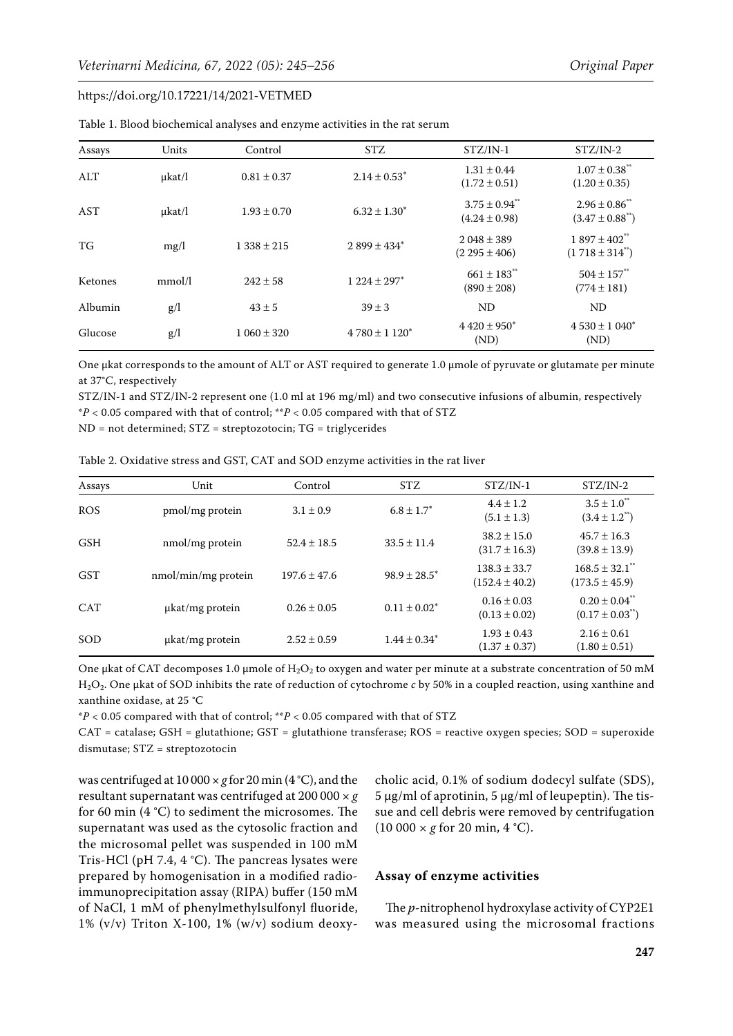| Assays  | Units       | Control         | <b>STZ</b>                   | $STZ/IN-1$                                         | $STZ/IN-2$                                             |
|---------|-------------|-----------------|------------------------------|----------------------------------------------------|--------------------------------------------------------|
| AI.T    | $\mu$ kat/l | $0.81 \pm 0.37$ | $2.14 \pm 0.53^*$            | $1.31 \pm 0.44$<br>$(1.72 \pm 0.51)$               | $1.07 \pm 0.38$ <sup>**</sup><br>$(1.20 \pm 0.35)$     |
| AST     | $\mu$ kat/l | $1.93 \pm 0.70$ | $6.32 \pm 1.30^*$            | $3.75 \pm 0.94$ <sup>**</sup><br>$(4.24 \pm 0.98)$ | $2.96 \pm 0.86$<br>$(3.47 \pm 0.88^{\ast\ast})$        |
| TG      | mg/l        | $1.338 \pm 215$ | $2.899 \pm 434$ <sup>*</sup> | $2048 \pm 389$<br>$(2.295 \pm 406)$                | $1.897 \pm 402$ <sup>**</sup><br>$(1718 \pm 314^{**})$ |
| Ketones | mmol/l      | $242 \pm 58$    | $1224 \pm 297$ <sup>*</sup>  | $661 \pm 183$<br>$(890 \pm 208)$                   | $504 \pm 157$<br>$(774 \pm 181)$                       |
| Albumin | g/l         | $43 \pm 5$      | $39 \pm 3$                   | <b>ND</b>                                          | <b>ND</b>                                              |
| Glucose | g/l         | $1.060 \pm 320$ | $4780 \pm 1120^*$            | $4420 \pm 950^*$<br>(ND)                           | $4530 \pm 1040^*$<br>(ND)                              |

<span id="page-2-0"></span>Table 1. Blood biochemical analyses and enzyme activities in the rat serum

One μkat corresponds to the amount of ALT or AST required to generate 1.0 µmole of pyruvate or glutamate per minute at 37°C, respectively

STZ/IN-1 and STZ/IN-2 represent one (1.0 ml at 196 mg/ml) and two consecutive infusions of albumin, respectively \**P* < 0.05 compared with that of control; \*\**P* < 0.05 compared with that of STZ

ND = not determined; STZ = streptozotocin; TG = triglycerides

<span id="page-2-1"></span>Table 2. Oxidative stress and GST, CAT and SOD enzyme activities in the rat liver

| Assays     | Unit                 | Control          | <b>STZ</b>        | $STZ/IN-1$                             | $STZ/IN-2$                                                 |
|------------|----------------------|------------------|-------------------|----------------------------------------|------------------------------------------------------------|
| <b>ROS</b> | pmol/mg protein      | $3.1 \pm 0.9$    | $6.8 \pm 1.7^*$   | $4.4 \pm 1.2$<br>$(5.1 \pm 1.3)$       | $3.5 \pm 1.0^{**}$<br>$(3.4 \pm 1.2^{*})$                  |
| <b>GSH</b> | nmol/mg protein      | $52.4 \pm 18.5$  | $33.5 \pm 11.4$   | $38.2 \pm 15.0$<br>$(31.7 \pm 16.3)$   | $45.7 \pm 16.3$<br>$(39.8 \pm 13.9)$                       |
| <b>GST</b> | nmol/min/mg protein  | $197.6 \pm 47.6$ | $98.9 \pm 28.5^*$ | $138.3 \pm 33.7$<br>$(152.4 \pm 40.2)$ | $168.5 \pm 32.1$ "<br>$(173.5 \pm 45.9)$                   |
| <b>CAT</b> | µkat/mg protein      | $0.26 \pm 0.05$  | $0.11 \pm 0.02^*$ | $0.16 \pm 0.03$<br>$(0.13 \pm 0.02)$   | $0.20 \pm 0.04$ <sup>**</sup><br>$(0.17 \pm 0.03^{\circ})$ |
| SOD        | $\mu$ kat/mg protein | $2.52 \pm 0.59$  | $1.44 \pm 0.34^*$ | $1.93 \pm 0.43$<br>$(1.37 \pm 0.37)$   | $2.16 \pm 0.61$<br>$(1.80 \pm 0.51)$                       |

One μkat of CAT decomposes 1.0 µmole of  $H_2O_2$  to oxygen and water per minute at a substrate concentration of 50 mM H2O2. One μkat of SOD inhibits the rate of reduction of cytochrome *c* by 50% in a coupled reaction, using xanthine and xanthine oxidase, at 25 °C

\**P* < 0.05 compared with that of control; \*\**P* < 0.05 compared with that of STZ

CAT = catalase; GSH = glutathione; GST = glutathione transferase; ROS = reactive oxygen species; SOD = superoxide dismutase; STZ = streptozotocin

was centrifuged at 10 000 × *g* for 20 min (4 °C), and the resultant supernatant was centrifuged at 200 000 × *g* for 60 min (4 °C) to sediment the microsomes. The supernatant was used as the cytosolic fraction and the microsomal pellet was suspended in 100 mM Tris-HCl (pH 7.4, 4 °C). The pancreas lysates were prepared by homogenisation in a modified radioimmunoprecipitation assay (RIPA) buffer (150 mM of NaCl, 1 mM of phenylmethylsulfonyl fluoride, 1% (v/v) Triton X-100, 1% (w/v) sodium deoxy-

cholic acid, 0.1% of sodium dodecyl sulfate (SDS),  $5 \mu$ g/ml of aprotinin,  $5 \mu$ g/ml of leupeptin). The tissue and cell debris were removed by centrifugation  $(10\ 000 \times g \text{ for } 20 \text{ min}, 4 \degree C).$ 

#### **Assay of enzyme activities**

The *p*-nitrophenol hydroxylase activity of CYP2E1 was measured using the microsomal fractions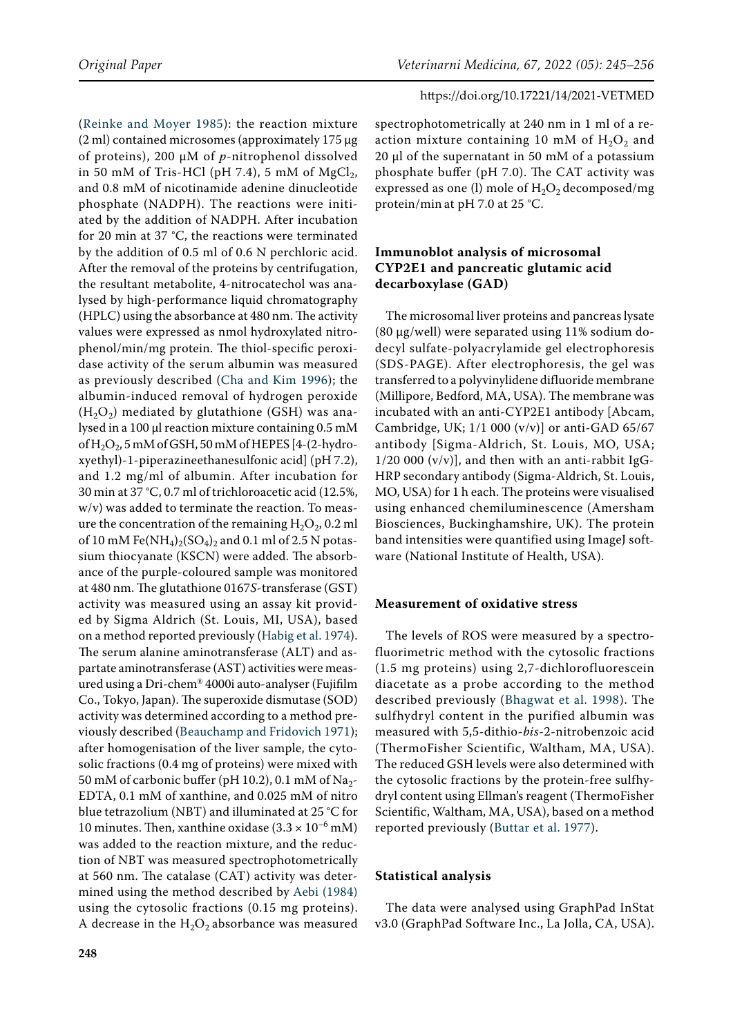([Reinke and Moyer 1985\)](#page-11-8): the reaction mixture (2 ml) contained microsomes (approximately  $175 \mu g$ of proteins), 200 µM of *p*-nitrophenol dissolved in 50 mM of Tris-HCl (pH 7.4), 5 mM of  $MgCl<sub>2</sub>$ , and 0.8 mM of nicotinamide adenine dinucleotide phosphate (NADPH). The reactions were initiated by the addition of NADPH. After incubation for 20 min at 37 °C, the reactions were terminated by the addition of 0.5 ml of 0.6 N perchloric acid. After the removal of the proteins by centrifugation, the resultant metabolite, 4-nitrocatechol was analysed by high-performance liquid chromatography (HPLC) using the absorbance at 480 nm. The activity values were expressed as nmol hydroxylated nitrophenol/min/mg protein. The thiol-specific peroxidase activity of the serum albumin was measured as previously described ([Cha and Kim 1996](#page-10-8)); the albumin-induced removal of hydrogen peroxide  $(H<sub>2</sub>O<sub>2</sub>)$  mediated by glutathione (GSH) was analysed in a 100 µl reaction mixture containing 0.5 mM of  $H_2O_2$ , 5 mM of GSH, 50 mM of HEPES [4-(2-hydroxyethyl)-1-piperazineethanesulfonic acid] (pH 7.2), and 1.2 mg/ml of albumin. After incubation for 30 min at 37 °C, 0.7 ml of trichloroacetic acid (12.5%, w/v) was added to terminate the reaction. To measure the concentration of the remaining  $H_2O_2$ , 0.2 ml of 10 mM Fe(NH<sub>4</sub>)<sub>2</sub>(SO<sub>4</sub>)<sub>2</sub> and 0.1 ml of 2.5 N potassium thiocyanate (KSCN) were added. The absorbance of the purple-coloured sample was monitored at 480 nm. The glutathione 0167*S*-transferase (GST) activity was measured using an assay kit provided by Sigma Aldrich (St. Louis, MI, USA), based on a method reported previously [\(Habig et al. 1974\)](#page-10-9). The serum alanine aminotransferase (ALT) and aspartate aminotransferase (AST) activities were measured using a Dri-chem® 4000i auto-analyser (Fujifilm Co., Tokyo, Japan). The superoxide dismutase (SOD) activity was determined according to a method previously described ([Beauchamp and Fridovich 1971\)](#page-10-10); after homogenisation of the liver sample, the cytosolic fractions (0.4 mg of proteins) were mixed with 50 mM of carbonic buffer (pH 10.2), 0.1 mM of  $Na<sub>2</sub>$ -EDTA, 0.1 mM of xanthine, and 0.025 mM of nitro blue tetrazolium (NBT) and illuminated at 25 °C for 10 minutes. Then, xanthine oxidase  $(3.3 \times 10^{-6} \text{ mM})$ was added to the reaction mixture, and the reduction of NBT was measured spectrophotometrically at 560 nm. The catalase (CAT) activity was determined using the method described by [Aebi \(1984\)](#page-9-0)  using the cytosolic fractions (0.15 mg proteins). A decrease in the  $H_2O_2$  absorbance was measured spectrophotometrically at 240 nm in 1 ml of a reaction mixture containing 10 mM of  $H_2O_2$  and 20 µl of the supernatant in 50 mM of a potassium phosphate buffer (pH 7.0). The CAT activity was expressed as one (l) mole of  $H_2O_2$  decomposed/mg protein/min at pH 7.0 at 25 °C.

# **Immunoblot analysis of microsomal CYP2E1 and pancreatic glutamic acid decarboxylase (GAD)**

The microsomal liver proteins and pancreas lysate (80 µg/well) were separated using 11% sodium dodecyl sulfate-polyacrylamide gel electrophoresis (SDS-PAGE). After electrophoresis, the gel was transferred to a polyvinylidene difluoride membrane (Millipore, Bedford, MA, USA). The membrane was incubated with an anti-CYP2E1 antibody [Abcam, Cambridge, UK; 1/1 000 (v/v)] or anti-GAD 65/67 antibody [Sigma-Aldrich, St. Louis, MO, USA;  $1/20000 (v/v)$ , and then with an anti-rabbit IgG-HRP secondary antibody (Sigma-Aldrich, St. Louis, MO, USA) for 1 h each. The proteins were visualised using enhanced chemiluminescence (Amersham Biosciences, Buckinghamshire, UK). The protein band intensities were quantified using ImageJ software (National Institute of Health, USA).

# **Measurement of oxidative stress**

The levels of ROS were measured by a spectrofluorimetric method with the cytosolic fractions (1.5 mg proteins) using 2,7-dichlorofluorescein diacetate as a probe according to the method described previously ([Bhagwat et al. 1998](#page-10-11)). The sulfhydryl content in the purified albumin was measured with 5,5-dithio-*bis*-2-nitrobenzoic acid (ThermoFisher Scientific, Waltham, MA, USA). The reduced GSH levels were also determined with the cytosolic fractions by the protein-free sulfhydryl content using Ellman's reagent (ThermoFisher Scientific, Waltham, MA, USA), based on a method reported previously [\(Buttar et al. 1977](#page-10-12)).

# **Statistical analysis**

The data were analysed using GraphPad InStat v3.0 (GraphPad Software Inc., La Jolla, CA, USA).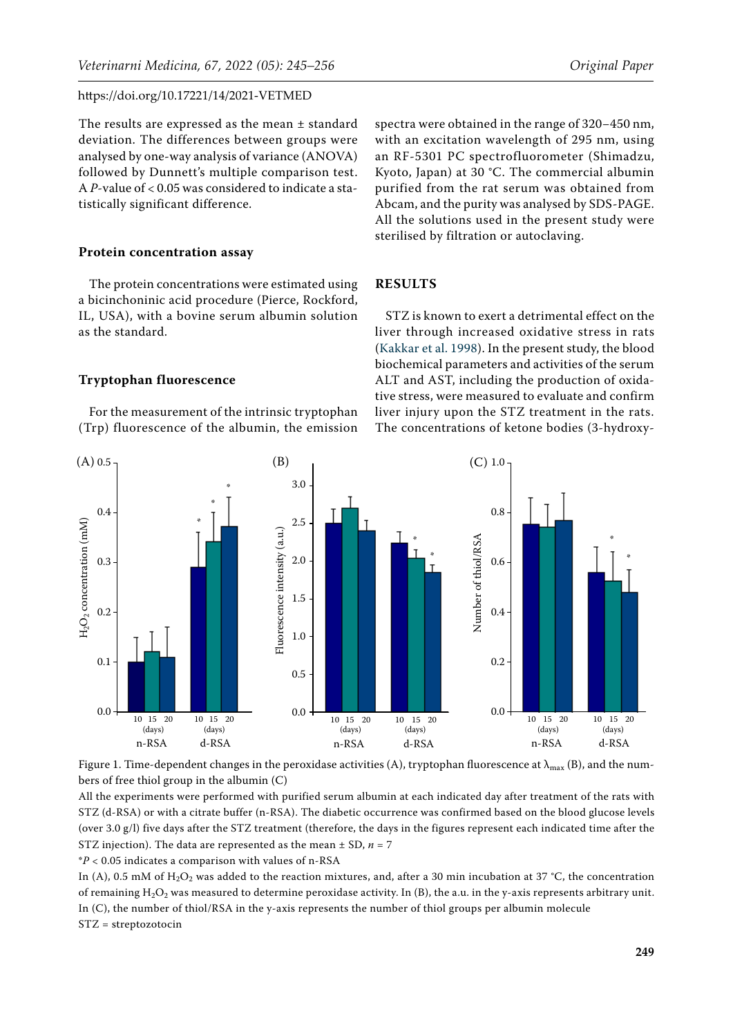The results are expressed as the mean ± standard deviation. The differences between groups were analysed by one-way analysis of variance (ANOVA) followed by Dunnett's multiple comparison test. A *P*-value of < 0.05 was considered to indicate a statistically significant difference.

## **Protein concentration assay**

The protein concentrations were estimated using a bicinchoninic acid procedure (Pierce, Rockford, IL, USA), with a bovine serum albumin solution as the standard.

**Tryptophan fluorescence**

<span id="page-4-0"></span> $(A)$  0.5

For the measurement of the intrinsic tryptophan (Trp) fluorescence of the albumin, the emission

 $(A) 0.5$ <sup>T</sup> (B) (B) (C)

spectra were obtained in the range of 320−450 nm, with an excitation wavelength of 295 nm, using an RF-5301 PC spectrofluorometer (Shimadzu, Kyoto, Japan) at 30 °C. The commercial albumin purified from the rat serum was obtained from Abcam, and the purity was analysed by SDS-PAGE. All the solutions used in the present study were sterilised by filtration or autoclaving.

## **RESULTS**

<span id="page-4-1"></span>STZ is known to exert a detrimental effect on the liver through increased oxidative stress in rats [\(Kakkar et al. 1998\)](#page-10-13). In the present study, the blood biochemical parameters and activities of the serum ALT and AST, including the production of oxidative stress, were measured to evaluate and confirm liver injury upon the STZ treatment in the rats. The concentrations of ketone bodies (3-hydroxy-

<span id="page-4-2"></span> $(C)$  1.0



Figure 1. Time-dependent changes in the peroxidase activities (A), tryptophan fluorescence at  $\lambda_{\max}$  (B), and the numbers of free thiol group in the albumin (C)

All the experiments were performed with purified serum albumin at each indicated day after treatment of the rats with STZ (d-RSA) or with a citrate buffer (n-RSA). The diabetic occurrence was confirmed based on the blood glucose levels (over 3.0 g/l) five days after the STZ treatment (therefore, the days in the figures represent each indicated time after the STZ injection). The data are represented as the mean  $\pm$  SD,  $n = 7$ 

\**P* < 0.05 indicates a comparison with values of n-RSA

In (A), 0.5 mM of  $H_2O_2$  was added to the reaction mixtures, and, after a 30 min incubation at 37 °C, the concentration of remaining  $H_2O_2$  was measured to determine peroxidase activity. In (B), the a.u. in the y-axis represents arbitrary unit. In (C), the number of thiol/RSA in the y-axis represents the number of thiol groups per albumin molecule STZ = streptozotocin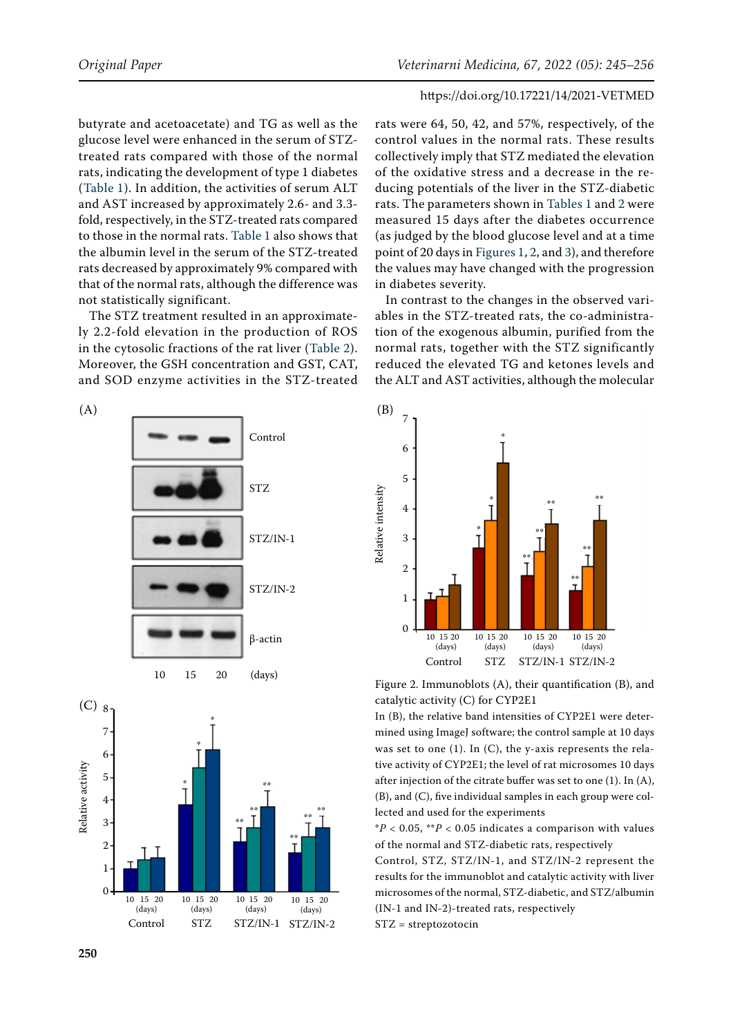butyrate and acetoacetate) and TG as well as the glucose level were enhanced in the serum of STZtreated rats compared with those of the normal rats, indicating the development of type 1 diabetes ([Table 1\)](#page-2-0). In addition, the activities of serum ALT and AST increased by approximately 2.6- and 3.3 fold, respectively, in the STZ-treated rats compared to those in the normal rats. [Table 1](#page-2-0) also shows that the albumin level in the serum of the STZ-treated rats decreased by approximately 9% compared with that of the normal rats, although the difference was not statistically significant.

The STZ treatment resulted in an approximately 2.2-fold elevation in the production of ROS in the cytosolic fractions of the rat liver [\(Table 2\)](#page-2-1). Moreover, the GSH concentration and GST, CAT, and SOD enzyme activities in the STZ-treated

<span id="page-5-0"></span>



<span id="page-5-2"></span>

rats were 64, 50, 42, and 57%, respectively, of the control values in the normal rats. These results collectively imply that STZ mediated the elevation of the oxidative stress and a decrease in the reducing potentials of the liver in the STZ-diabetic rats. The parameters shown in [Tables 1](#page-2-0) and [2 w](#page-2-1)ere measured 15 days after the diabetes occurrence (as judged by the blood glucose level and at a time point of 20 days in [Figures 1](#page-4-0), [2,](#page-5-0) and [3](#page-6-0)), and therefore the values may have changed with the progression in diabetes severity.

In contrast to the changes in the observed variables in the STZ-treated rats, the co-administration of the exogenous albumin, purified from the normal rats, together with the STZ significantly reduced the elevated TG and ketones levels and the ALT and AST activities, although the molecular

<span id="page-5-1"></span>

Figure 2. Immunoblots (A), their quantification (B), and catalytic activity (C) for CYP2E1

In (B), the relative band intensities of CYP2E1 were determined using ImageJ software; the control sample at 10 days was set to one (1). In (C), the y-axis represents the relative activity of CYP2E1; the level of rat microsomes 10 days after injection of the citrate buffer was set to one (1). In (A), (B), and (C), five individual samples in each group were collected and used for the experiments

 $*P < 0.05$ ,  $*P < 0.05$  indicates a comparison with values of the normal and STZ-diabetic rats, respectively

Control, STZ, STZ/IN-1, and STZ/IN-2 represent the results for the immunoblot and catalytic activity with liver microsomes of the normal, STZ-diabetic, and STZ/albumin (IN-1 and IN-2)-treated rats, respectively STZ = streptozotocin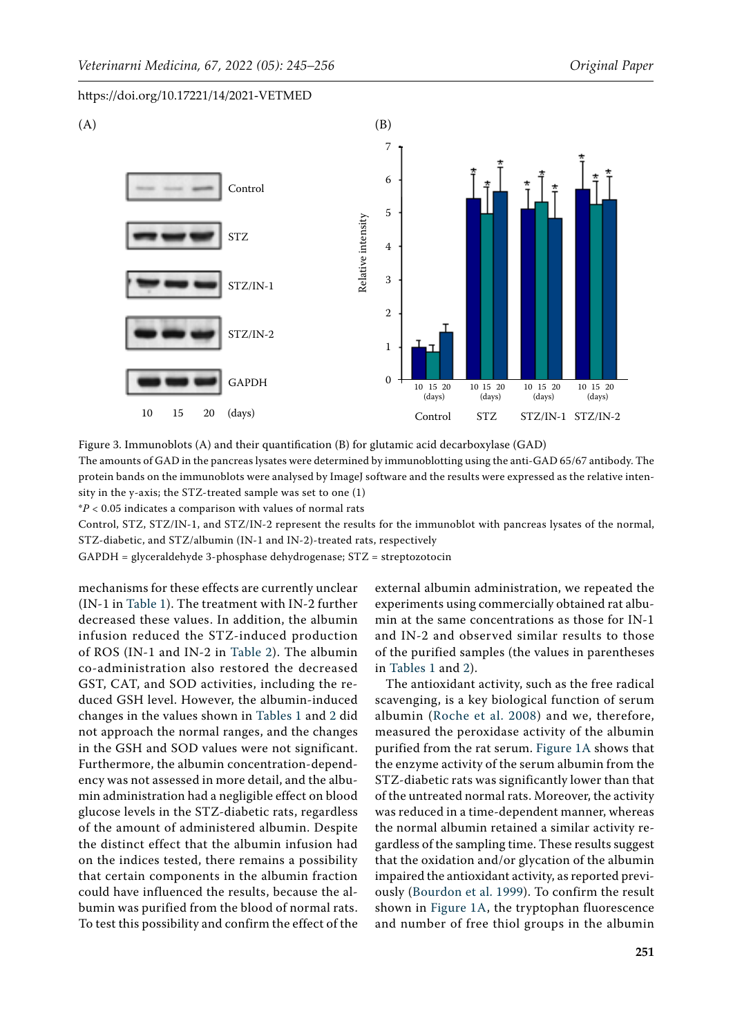<span id="page-6-0"></span>

Figure 3. Immunoblots (A) and their quantification (B) for glutamic acid decarboxylase (GAD)

The amounts of GAD in the pancreas lysates were determined by immunoblotting using the anti-GAD 65/67 antibody. The protein bands on the immunoblots were analysed by ImageJ software and the results were expressed as the relative intensity in the y-axis; the STZ-treated sample was set to one (1)

\**P* < 0.05 indicates a comparison with values of normal rats

Control, STZ, STZ/IN-1, and STZ/IN-2 represent the results for the immunoblot with pancreas lysates of the normal, STZ-diabetic, and STZ/albumin (IN-1 and IN-2)-treated rats, respectively

GAPDH = glyceraldehyde 3-phosphase dehydrogenase; STZ = streptozotocin

mechanisms for these effects are currently unclear (IN-1 in [Table 1](#page-2-0)). The treatment with IN-2 further decreased these values. In addition, the albumin infusion reduced the STZ-induced production of ROS (IN-1 and IN-2 in [Table 2](#page-2-1)). The albumin co-administration also restored the decreased GST, CAT, and SOD activities, including the reduced GSH level. However, the albumin-induced changes in the values shown in [Tables 1](#page-2-0) and [2](#page-2-1) did not approach the normal ranges, and the changes in the GSH and SOD values were not significant. Furthermore, the albumin concentration-dependency was not assessed in more detail, and the albumin administration had a negligible effect on blood glucose levels in the STZ-diabetic rats, regardless of the amount of administered albumin. Despite the distinct effect that the albumin infusion had on the indices tested, there remains a possibility that certain components in the albumin fraction could have influenced the results, because the albumin was purified from the blood of normal rats. To test this possibility and confirm the effect of the

external albumin administration, we repeated the experiments using commercially obtained rat albumin at the same concentrations as those for IN-1 and IN-2 and observed similar results to those of the purified samples (the values in parentheses in [Tables 1](#page-2-0) and [2\)](#page-2-1).

The antioxidant activity, such as the free radical scavenging, is a key biological function of serum albumin ([Roche et al. 2008](#page-11-4)) and we, therefore, measured the peroxidase activity of the albumin purified from the rat serum. [Figure 1A](#page-4-0) shows that the enzyme activity of the serum albumin from the STZ-diabetic rats was significantly lower than that of the untreated normal rats. Moreover, the activity was reduced in a time-dependent manner, whereas the normal albumin retained a similar activity regardless of the sampling time. These results suggest that the oxidation and/or glycation of the albumin impaired the antioxidant activity, as reported previously ([Bourdon et al. 1999](#page-10-14)). To confirm the result shown in [Figure 1A,](#page-4-0) the tryptophan fluorescence and number of free thiol groups in the albumin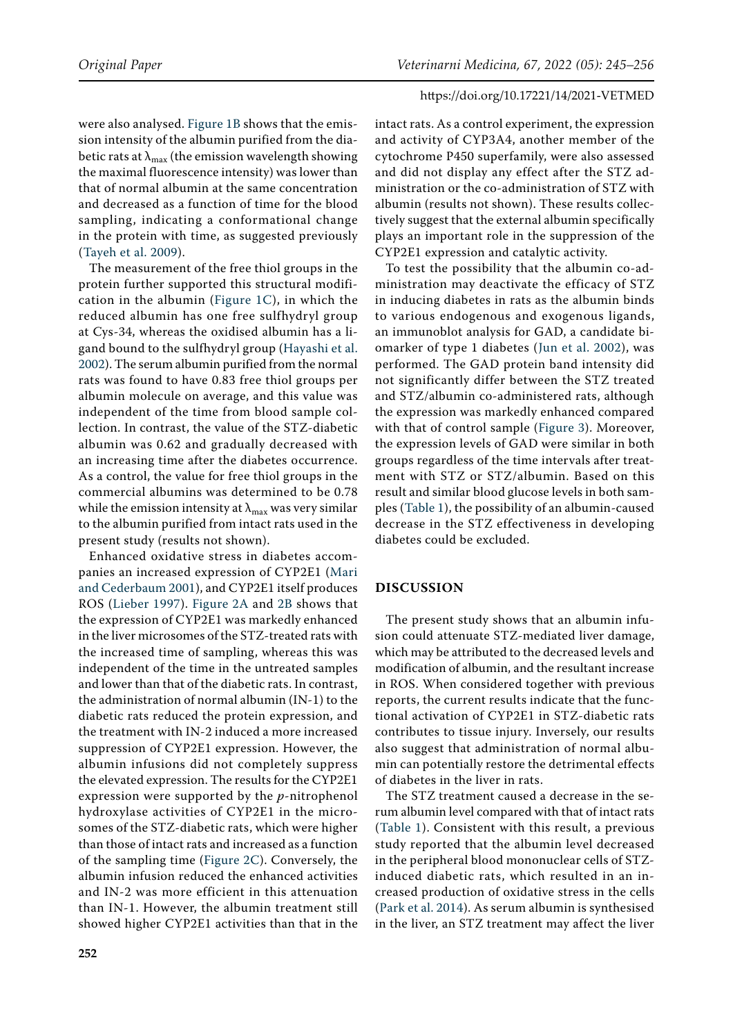were also analysed. [Figure 1B](#page-4-1) shows that the emission intensity of the albumin purified from the diabetic rats at  $\lambda_{\text{max}}$  (the emission wavelength showing the maximal fluorescence intensity) was lower than that of normal albumin at the same concentration and decreased as a function of time for the blood sampling, indicating a conformational change in the protein with time, as suggested previously ([Tayeh et al. 2009](#page-11-9)).

The measurement of the free thiol groups in the protein further supported this structural modification in the albumin ([Figure 1C](#page-4-2)), in which the reduced albumin has one free sulfhydryl group at Cys-34, whereas the oxidised albumin has a ligand bound to the sulfhydryl group [\(Hayashi et al.](#page-10-15)  [2002](#page-10-15)). The serum albumin purified from the normal rats was found to have 0.83 free thiol groups per albumin molecule on average, and this value was independent of the time from blood sample collection. In contrast, the value of the STZ-diabetic albumin was 0.62 and gradually decreased with an increasing time after the diabetes occurrence. As a control, the value for free thiol groups in the commercial albumins was determined to be 0.78 while the emission intensity at  $\lambda_{\text{max}}$  was very similar to the albumin purified from intact rats used in the present study (results not shown).

Enhanced oxidative stress in diabetes accompanies an increased expression of CYP2E1 ([Mari](#page-11-10)  [and Cederbaum 2001\)](#page-11-10), and CYP2E1 itself produces ROS ([Lieber 1997\)](#page-10-16). [Figure 2A](#page-5-0) and [2B](#page-5-1) shows that the expression of CYP2E1 was markedly enhanced in the liver microsomes of the STZ-treated rats with the increased time of sampling, whereas this was independent of the time in the untreated samples and lower than that of the diabetic rats. In contrast, the administration of normal albumin (IN-1) to the diabetic rats reduced the protein expression, and the treatment with IN-2 induced a more increased suppression of CYP2E1 expression. However, the albumin infusions did not completely suppress the elevated expression. The results for the CYP2E1 expression were supported by the *p*-nitrophenol hydroxylase activities of CYP2E1 in the microsomes of the STZ-diabetic rats, which were higher than those of intact rats and increased as a function of the sampling time ([Figure 2C\)](#page-5-2). Conversely, the albumin infusion reduced the enhanced activities and IN-2 was more efficient in this attenuation than IN-1. However, the albumin treatment still showed higher CYP2E1 activities than that in the intact rats. As a control experiment, the expression and activity of CYP3A4, another member of the cytochrome P450 superfamily, were also assessed and did not display any effect after the STZ administration or the co-administration of STZ with albumin (results not shown). These results collectively suggest that the external albumin specifically plays an important role in the suppression of the CYP2E1 expression and catalytic activity.

To test the possibility that the albumin co-administration may deactivate the efficacy of STZ in inducing diabetes in rats as the albumin binds to various endogenous and exogenous ligands, an immunoblot analysis for GAD, a candidate biomarker of type 1 diabetes ([Jun et al. 2002\)](#page-10-17), was performed. The GAD protein band intensity did not significantly differ between the STZ treated and STZ/albumin co-administered rats, although the expression was markedly enhanced compared with that of control sample [\(Figure 3](#page-6-0)). Moreover, the expression levels of GAD were similar in both groups regardless of the time intervals after treatment with STZ or STZ/albumin. Based on this result and similar blood glucose levels in both samples ([Table 1\)](#page-2-0), the possibility of an albumin-caused decrease in the STZ effectiveness in developing diabetes could be excluded.

## **DISCUSSION**

The present study shows that an albumin infusion could attenuate STZ-mediated liver damage, which may be attributed to the decreased levels and modification of albumin, and the resultant increase in ROS. When considered together with previous reports, the current results indicate that the functional activation of CYP2E1 in STZ-diabetic rats contributes to tissue injury. Inversely, our results also suggest that administration of normal albumin can potentially restore the detrimental effects of diabetes in the liver in rats.

The STZ treatment caused a decrease in the serum albumin level compared with that of intact rats ([Table 1\)](#page-2-0). Consistent with this result, a previous study reported that the albumin level decreased in the peripheral blood mononuclear cells of STZinduced diabetic rats, which resulted in an increased production of oxidative stress in the cells [\(Park et al. 2014\)](#page-11-11). As serum albumin is synthesised in the liver, an STZ treatment may affect the liver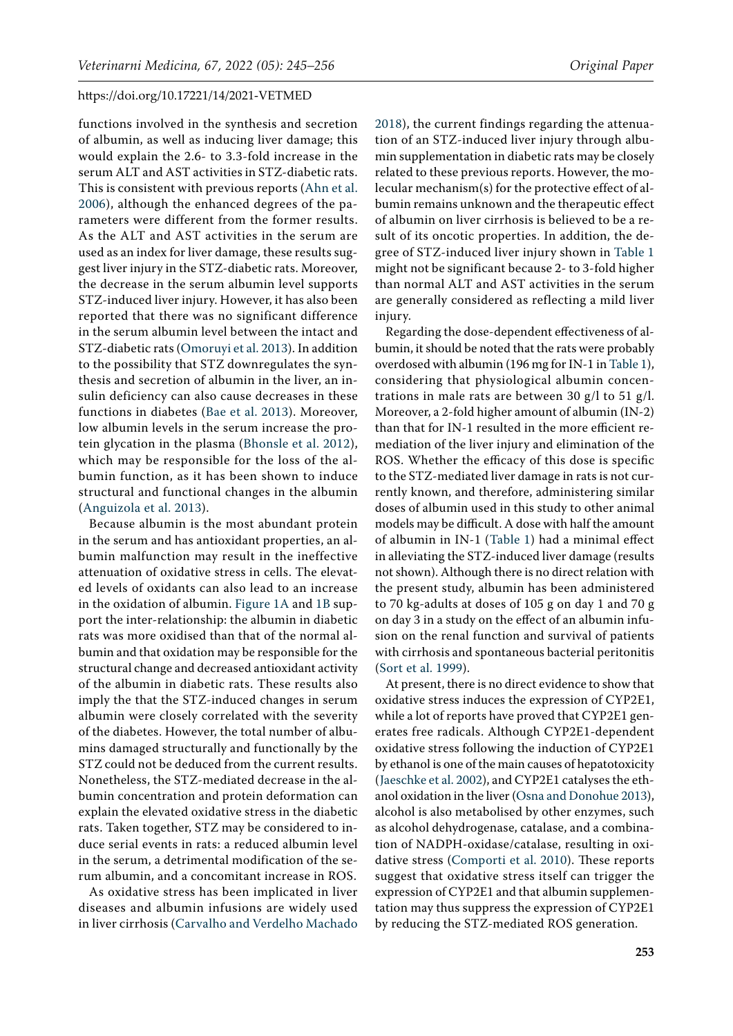functions involved in the synthesis and secretion of albumin, as well as inducing liver damage; this would explain the 2.6- to 3.3-fold increase in the serum ALT and AST activities in STZ-diabetic rats. This is consistent with previous reports ([Ahn et al.](#page-9-1)  [2006](#page-9-1)), although the enhanced degrees of the parameters were different from the former results. As the ALT and AST activities in the serum are used as an index for liver damage, these results suggest liver injury in the STZ-diabetic rats. Moreover, the decrease in the serum albumin level supports STZ-induced liver injury. However, it has also been reported that there was no significant difference in the serum albumin level between the intact and STZ-diabetic rats ([Omoruyi et al. 2013\)](#page-11-12). In addition to the possibility that STZ downregulates the synthesis and secretion of albumin in the liver, an insulin deficiency can also cause decreases in these functions in diabetes ([Bae et al. 2013](#page-9-2)). Moreover, low albumin levels in the serum increase the protein glycation in the plasma ([Bhonsle et al. 2012\)](#page-10-18), which may be responsible for the loss of the albumin function, as it has been shown to induce structural and functional changes in the albumin [\(Anguizola et al. 2013\)](#page-9-3).

Because albumin is the most abundant protein in the serum and has antioxidant properties, an albumin malfunction may result in the ineffective attenuation of oxidative stress in cells. The elevated levels of oxidants can also lead to an increase in the oxidation of albumin. [Figure 1A](#page-4-0) and [1B](#page-4-1) support the inter-relationship: the albumin in diabetic rats was more oxidised than that of the normal albumin and that oxidation may be responsible for the structural change and decreased antioxidant activity of the albumin in diabetic rats. These results also imply the that the STZ-induced changes in serum albumin were closely correlated with the severity of the diabetes. However, the total number of albumins damaged structurally and functionally by the STZ could not be deduced from the current results. Nonetheless, the STZ-mediated decrease in the albumin concentration and protein deformation can explain the elevated oxidative stress in the diabetic rats. Taken together, STZ may be considered to induce serial events in rats: a reduced albumin level in the serum, a detrimental modification of the serum albumin, and a concomitant increase in ROS.

As oxidative stress has been implicated in liver diseases and albumin infusions are widely used in liver cirrhosis [\(Carvalho and Verdelho Machado](#page-10-19)  [2018\)](#page-10-19), the current findings regarding the attenuation of an STZ-induced liver injury through albumin supplementation in diabetic rats may be closely related to these previous reports. However, the molecular mechanism(s) for the protective effect of albumin remains unknown and the therapeutic effect of albumin on liver cirrhosis is believed to be a result of its oncotic properties. In addition, the degree of STZ-induced liver injury shown in [Table 1](#page-2-0) might not be significant because 2- to 3-fold higher than normal ALT and AST activities in the serum are generally considered as reflecting a mild liver injury.

Regarding the dose-dependent effectiveness of albumin, it should be noted that the rats were probably overdosed with albumin (196 mg for IN-1 in [Table 1\)](#page-2-0), considering that physiological albumin concentrations in male rats are between 30 g/l to 51 g/l. Moreover, a 2-fold higher amount of albumin (IN-2) than that for IN-1 resulted in the more efficient remediation of the liver injury and elimination of the ROS. Whether the efficacy of this dose is specific to the STZ-mediated liver damage in rats is not currently known, and therefore, administering similar doses of albumin used in this study to other animal models may be difficult. A dose with half the amount of albumin in IN-1 ([Table 1](#page-2-0)) had a minimal effect in alleviating the STZ-induced liver damage (results not shown). Although there is no direct relation with the present study, albumin has been administered to 70 kg-adults at doses of 105 g on day 1 and 70 g on day 3 in a study on the effect of an albumin infusion on the renal function and survival of patients with cirrhosis and spontaneous bacterial peritonitis [\(Sort et al. 1999\)](#page-11-13).

At present, there is no direct evidence to show that oxidative stress induces the expression of CYP2E1, while a lot of reports have proved that CYP2E1 generates free radicals. Although CYP2E1-dependent oxidative stress following the induction of CYP2E1 by ethanol is one of the main causes of hepatotoxicity ([Jaeschke et al. 2002\)](#page-10-20), and CYP2E1 catalyses the ethanol oxidation in the liver [\(Osna and Donohue 2013\)](#page-11-14), alcohol is also metabolised by other enzymes, such as alcohol dehydrogenase, catalase, and a combination of NADPH-oxidase/catalase, resulting in oxidative stress ([Comporti et al. 2010\)](#page-10-21). These reports suggest that oxidative stress itself can trigger the expression of CYP2E1 and that albumin supplementation may thus suppress the expression of CYP2E1 by reducing the STZ-mediated ROS generation.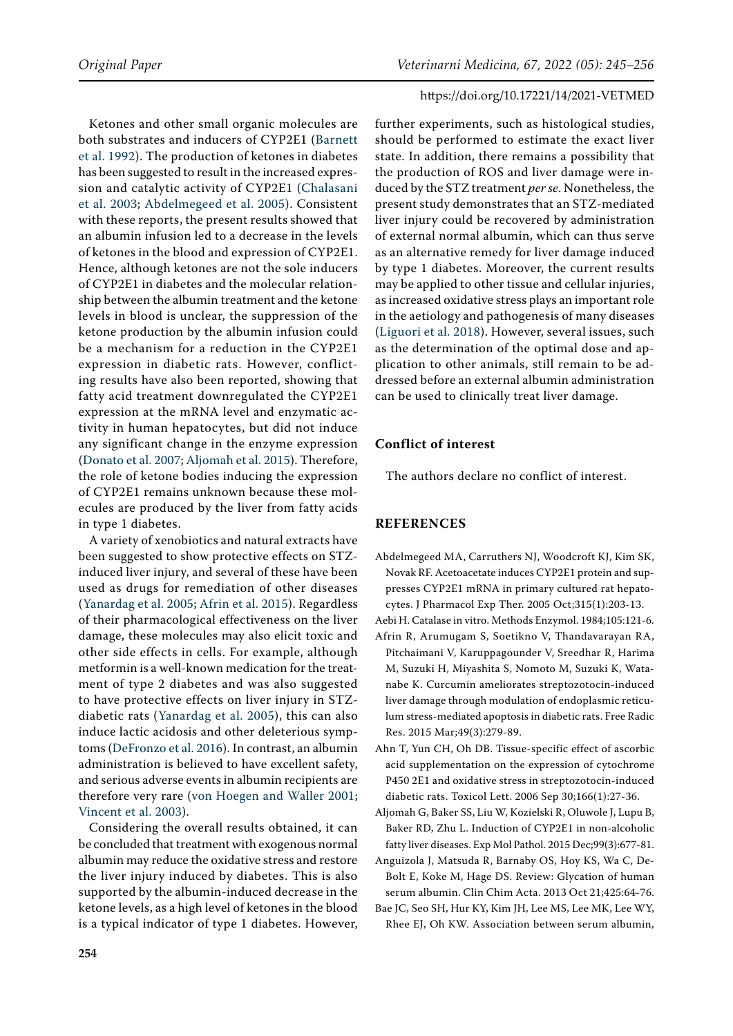Ketones and other small organic molecules are both substrates and inducers of CYP2E1 [\(Barnett](#page-10-22)  [et al. 1992\)](#page-10-22). The production of ketones in diabetes has been suggested to result in the increased expression and catalytic activity of CYP2E1 ([Chalasani](#page-10-23)  [et al. 2003;](#page-10-23) [Abdelmegeed et al. 2005\)](#page-9-4). Consistent with these reports, the present results showed that an albumin infusion led to a decrease in the levels of ketones in the blood and expression of CYP2E1. Hence, although ketones are not the sole inducers of CYP2E1 in diabetes and the molecular relationship between the albumin treatment and the ketone levels in blood is unclear, the suppression of the ketone production by the albumin infusion could be a mechanism for a reduction in the CYP2E1 expression in diabetic rats. However, conflicting results have also been reported, showing that fatty acid treatment downregulated the CYP2E1 expression at the mRNA level and enzymatic activity in human hepatocytes, but did not induce any significant change in the enzyme expression [\(Donato et al. 2007;](#page-10-24) [Aljomah et al. 2015\)](#page-9-5). Therefore, the role of ketone bodies inducing the expression of CYP2E1 remains unknown because these molecules are produced by the liver from fatty acids in type 1 diabetes.

A variety of xenobiotics and natural extracts have been suggested to show protective effects on STZinduced liver injury, and several of these have been used as drugs for remediation of other diseases ([Yanardag et al. 2005](#page-11-15); [Afrin et al. 2015](#page-9-6)). Regardless of their pharmacological effectiveness on the liver damage, these molecules may also elicit toxic and other side effects in cells. For example, although metformin is a well-known medication for the treatment of type 2 diabetes and was also suggested to have protective effects on liver injury in STZdiabetic rats ([Yanardag et al. 2005](#page-11-15)), this can also induce lactic acidosis and other deleterious symptoms [\(DeFronzo et al. 2016\)](#page-10-25). In contrast, an albumin administration is believed to have excellent safety, and serious adverse events in albumin recipients are therefore very rare ([von Hoegen and Waller 2001](#page-11-16); [Vincent et al. 2003\)](#page-11-17).

Considering the overall results obtained, it can be concluded that treatment with exogenous normal albumin may reduce the oxidative stress and restore the liver injury induced by diabetes. This is also supported by the albumin-induced decrease in the ketone levels, as a high level of ketones in the blood is a typical indicator of type 1 diabetes. However,

further experiments, such as histological studies, should be performed to estimate the exact liver state. In addition, there remains a possibility that the production of ROS and liver damage were induced by the STZ treatment *per se*. Nonetheless, the present study demonstrates that an STZ-mediated liver injury could be recovered by administration of external normal albumin, which can thus serve as an alternative remedy for liver damage induced by type 1 diabetes. Moreover, the current results may be applied to other tissue and cellular injuries, as increased oxidative stress plays an important role in the aetiology and pathogenesis of many diseases [\(Liguori et al. 2018](#page-10-26)). However, several issues, such as the determination of the optimal dose and application to other animals, still remain to be addressed before an external albumin administration can be used to clinically treat liver damage.

# **Conflict of interest**

The authors declare no conflict of interest.

#### **REFERENCES**

- <span id="page-9-4"></span>Abdelmegeed MA, Carruthers NJ, Woodcroft KJ, Kim SK, Novak RF. Acetoacetate induces CYP2E1 protein and suppresses CYP2E1 mRNA in primary cultured rat hepatocytes. J Pharmacol Exp Ther. 2005 Oct;315(1):203-13.
- <span id="page-9-0"></span>Aebi H. Catalase in vitro. Methods Enzymol. 1984;105:121-6.
- <span id="page-9-6"></span>Afrin R, Arumugam S, Soetikno V, Thandavarayan RA, Pitchaimani V, Karuppagounder V, Sreedhar R, Harima M, Suzuki H, Miyashita S, Nomoto M, Suzuki K, Watanabe K. Curcumin ameliorates streptozotocin-induced liver damage through modulation of endoplasmic reticulum stress-mediated apoptosis in diabetic rats. Free Radic Res. 2015 Mar;49(3):279-89.
- <span id="page-9-1"></span>Ahn T, Yun CH, Oh DB. Tissue-specific effect of ascorbic acid supplementation on the expression of cytochrome P450 2E1 and oxidative stress in streptozotocin-induced diabetic rats. Toxicol Lett. 2006 Sep 30;166(1):27-36.
- <span id="page-9-5"></span>Aljomah G, Baker SS, Liu W, Kozielski R, Oluwole J, Lupu B, Baker RD, Zhu L. Induction of CYP2E1 in non-alcoholic fatty liver diseases. Exp Mol Pathol. 2015 Dec;99(3):677-81.
- <span id="page-9-3"></span>Anguizola J, Matsuda R, Barnaby OS, Hoy KS, Wa C, De-Bolt E, Koke M, Hage DS. Review: Glycation of human serum albumin. Clin Chim Acta. 2013 Oct 21;425:64-76.
- <span id="page-9-2"></span>Bae JC, Seo SH, Hur KY, Kim JH, Lee MS, Lee MK, Lee WY, Rhee EJ, Oh KW. Association between serum albumin,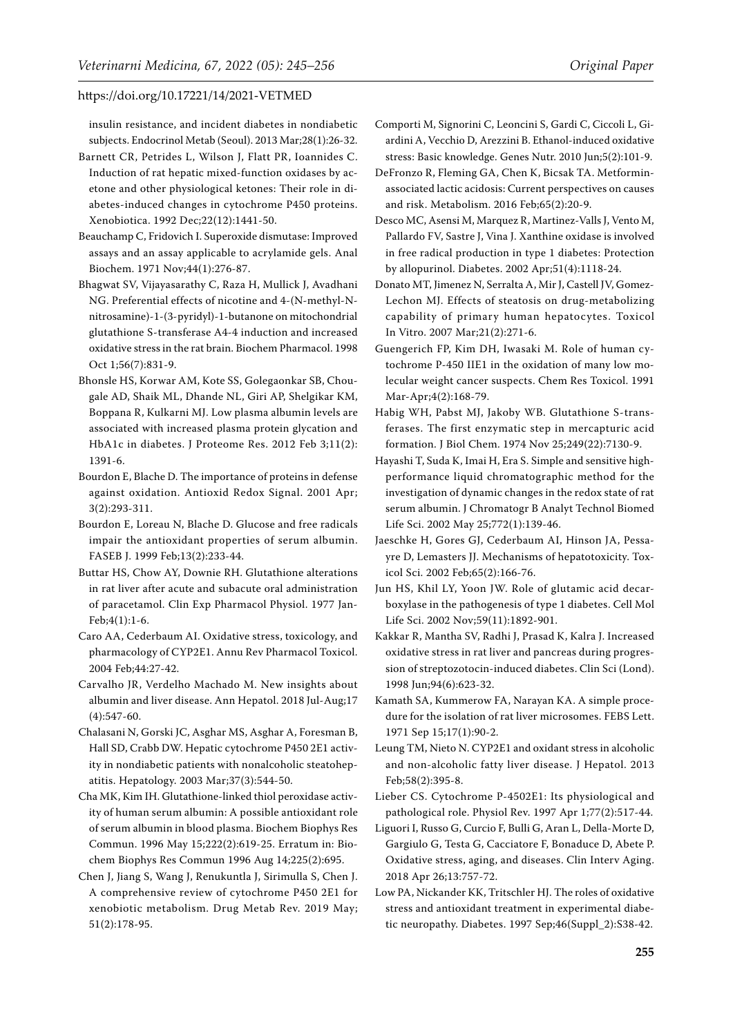insulin resistance, and incident diabetes in nondiabetic subjects. Endocrinol Metab (Seoul). 2013 Mar;28(1):26-32.

- <span id="page-10-22"></span>Barnett CR, Petrides L, Wilson J, Flatt PR, Ioannides C. Induction of rat hepatic mixed-function oxidases by acetone and other physiological ketones: Their role in diabetes-induced changes in cytochrome P450 proteins. Xenobiotica. 1992 Dec;22(12):1441-50.
- <span id="page-10-10"></span>Beauchamp C, Fridovich I. Superoxide dismutase: Improved assays and an assay applicable to acrylamide gels. Anal Biochem. 1971 Nov;44(1):276-87.
- <span id="page-10-11"></span>Bhagwat SV, Vijayasarathy C, Raza H, Mullick J, Avadhani NG. Preferential effects of nicotine and 4-(N-methyl-Nnitrosamine)-1-(3-pyridyl)-1-butanone on mitochondrial glutathione S-transferase A4-4 induction and increased oxidative stress in the rat brain. Biochem Pharmacol. 1998 Oct 1;56(7):831-9.
- <span id="page-10-18"></span>Bhonsle HS, Korwar AM, Kote SS, Golegaonkar SB, Chougale AD, Shaik ML, Dhande NL, Giri AP, Shelgikar KM, Boppana R, Kulkarni MJ. Low plasma albumin levels are associated with increased plasma protein glycation and HbA1c in diabetes. J Proteome Res. 2012 Feb 3;11(2): 1391-6.
- <span id="page-10-6"></span>Bourdon E, Blache D. The importance of proteins in defense against oxidation. Antioxid Redox Signal. 2001 Apr; 3(2):293-311.
- <span id="page-10-14"></span>Bourdon E, Loreau N, Blache D. Glucose and free radicals impair the antioxidant properties of serum albumin. FASEB J. 1999 Feb;13(2):233-44.
- <span id="page-10-12"></span>Buttar HS, Chow AY, Downie RH. Glutathione alterations in rat liver after acute and subacute oral administration of paracetamol. Clin Exp Pharmacol Physiol. 1977 Jan-Feb;4(1):1-6.
- <span id="page-10-5"></span>Caro AA, Cederbaum AI. Oxidative stress, toxicology, and pharmacology of CYP2E1. Annu Rev Pharmacol Toxicol. 2004 Feb;44:27-42.
- <span id="page-10-19"></span>Carvalho JR, Verdelho Machado M. New insights about albumin and liver disease. Ann Hepatol. 2018 Jul-Aug;17 (4):547-60.
- <span id="page-10-23"></span>Chalasani N, Gorski JC, Asghar MS, Asghar A, Foresman B, Hall SD, Crabb DW. Hepatic cytochrome P450 2E1 activity in nondiabetic patients with nonalcoholic steatohepatitis. Hepatology. 2003 Mar;37(3):544-50.
- <span id="page-10-8"></span>Cha MK, Kim IH. Glutathione-linked thiol peroxidase activity of human serum albumin: A possible antioxidant role of serum albumin in blood plasma. Biochem Biophys Res Commun. 1996 May 15;222(2):619-25. Erratum in: Biochem Biophys Res Commun 1996 Aug 14;225(2):695.
- <span id="page-10-2"></span>Chen J, Jiang S, Wang J, Renukuntla J, Sirimulla S, Chen J. A comprehensive review of cytochrome P450 2E1 for xenobiotic metabolism. Drug Metab Rev. 2019 May; 51(2):178-95.
- <span id="page-10-21"></span>Comporti M, Signorini C, Leoncini S, Gardi C, Ciccoli L, Giardini A, Vecchio D, Arezzini B. Ethanol-induced oxidative stress: Basic knowledge. Genes Nutr. 2010 Jun;5(2):101-9.
- <span id="page-10-25"></span>DeFronzo R, Fleming GA, Chen K, Bicsak TA. Metforminassociated lactic acidosis: Current perspectives on causes and risk. Metabolism. 2016 Feb;65(2):20-9.
- <span id="page-10-0"></span>Desco MC, Asensi M, Marquez R, Martinez-Valls J, Vento M, Pallardo FV, Sastre J, Vina J. Xanthine oxidase is involved in free radical production in type 1 diabetes: Protection by allopurinol. Diabetes. 2002 Apr;51(4):1118-24.
- <span id="page-10-24"></span>Donato MT, Jimenez N, Serralta A, Mir J, Castell JV, Gomez-Lechon MJ. Effects of steatosis on drug-metabolizing capability of primary human hepatocytes. Toxicol In Vitro. 2007 Mar;21(2):271-6.
- <span id="page-10-3"></span>Guengerich FP, Kim DH, Iwasaki M. Role of human cytochrome P-450 IIE1 in the oxidation of many low molecular weight cancer suspects. Chem Res Toxicol. 1991 Mar-Apr;4(2):168-79.
- <span id="page-10-9"></span>Habig WH, Pabst MJ, Jakoby WB. Glutathione S-transferases. The first enzymatic step in mercapturic acid formation. J Biol Chem. 1974 Nov 25;249(22):7130-9.
- <span id="page-10-15"></span>Hayashi T, Suda K, Imai H, Era S. Simple and sensitive highperformance liquid chromatographic method for the investigation of dynamic changes in the redox state of rat serum albumin. J Chromatogr B Analyt Technol Biomed Life Sci. 2002 May 25;772(1):139-46.
- <span id="page-10-20"></span>Jaeschke H, Gores GJ, Cederbaum AI, Hinson JA, Pessayre D, Lemasters JJ. Mechanisms of hepatotoxicity. Toxicol Sci. 2002 Feb;65(2):166-76.
- <span id="page-10-17"></span>Jun HS, Khil LY, Yoon JW. Role of glutamic acid decarboxylase in the pathogenesis of type 1 diabetes. Cell Mol Life Sci. 2002 Nov;59(11):1892-901.
- <span id="page-10-13"></span>Kakkar R, Mantha SV, Radhi J, Prasad K, Kalra J. Increased oxidative stress in rat liver and pancreas during progression of streptozotocin-induced diabetes. Clin Sci (Lond). 1998 Jun;94(6):623-32.
- <span id="page-10-7"></span>Kamath SA, Kummerow FA, Narayan KA. A simple procedure for the isolation of rat liver microsomes. FEBS Lett. 1971 Sep 15;17(1):90-2.
- <span id="page-10-4"></span>Leung TM, Nieto N. CYP2E1 and oxidant stress in alcoholic and non-alcoholic fatty liver disease. J Hepatol. 2013 Feb;58(2):395-8.
- <span id="page-10-16"></span>Lieber CS. Cytochrome P-4502E1: Its physiological and pathological role. Physiol Rev. 1997 Apr 1;77(2):517-44.
- <span id="page-10-26"></span>Liguori I, Russo G, Curcio F, Bulli G, Aran L, Della-Morte D, Gargiulo G, Testa G, Cacciatore F, Bonaduce D, Abete P. Oxidative stress, aging, and diseases. Clin Interv Aging. 2018 Apr 26;13:757-72.
- <span id="page-10-1"></span>Low PA, Nickander KK, Tritschler HJ. The roles of oxidative stress and antioxidant treatment in experimental diabetic neuropathy. Diabetes. 1997 Sep;46(Suppl\_2):S38-42.